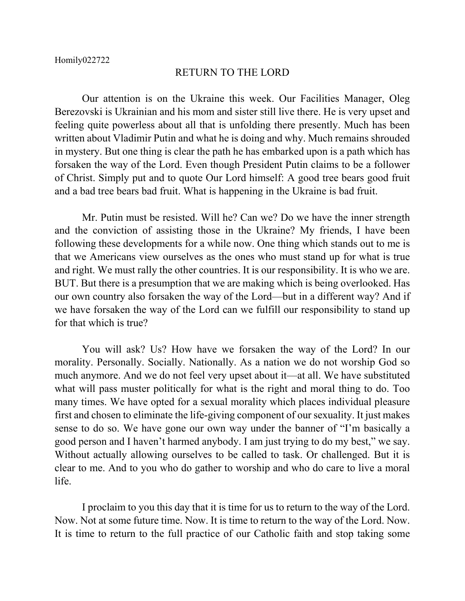## RETURN TO THE LORD

Our attention is on the Ukraine this week. Our Facilities Manager, Oleg Berezovski is Ukrainian and his mom and sister still live there. He is very upset and feeling quite powerless about all that is unfolding there presently. Much has been written about Vladimir Putin and what he is doing and why. Much remains shrouded in mystery. But one thing is clear the path he has embarked upon is a path which has forsaken the way of the Lord. Even though President Putin claims to be a follower of Christ. Simply put and to quote Our Lord himself: A good tree bears good fruit and a bad tree bears bad fruit. What is happening in the Ukraine is bad fruit.

Mr. Putin must be resisted. Will he? Can we? Do we have the inner strength and the conviction of assisting those in the Ukraine? My friends, I have been following these developments for a while now. One thing which stands out to me is that we Americans view ourselves as the ones who must stand up for what is true and right. We must rally the other countries. It is our responsibility. It is who we are. BUT. But there is a presumption that we are making which is being overlooked. Has our own country also forsaken the way of the Lord—but in a different way? And if we have forsaken the way of the Lord can we fulfill our responsibility to stand up for that which is true?

You will ask? Us? How have we forsaken the way of the Lord? In our morality. Personally. Socially. Nationally. As a nation we do not worship God so much anymore. And we do not feel very upset about it—at all. We have substituted what will pass muster politically for what is the right and moral thing to do. Too many times. We have opted for a sexual morality which places individual pleasure first and chosen to eliminate the life-giving component of our sexuality. It just makes sense to do so. We have gone our own way under the banner of "I'm basically a good person and I haven't harmed anybody. I am just trying to do my best," we say. Without actually allowing ourselves to be called to task. Or challenged. But it is clear to me. And to you who do gather to worship and who do care to live a moral life.

I proclaim to you this day that it is time for us to return to the way of the Lord. Now. Not at some future time. Now. It is time to return to the way of the Lord. Now. It is time to return to the full practice of our Catholic faith and stop taking some